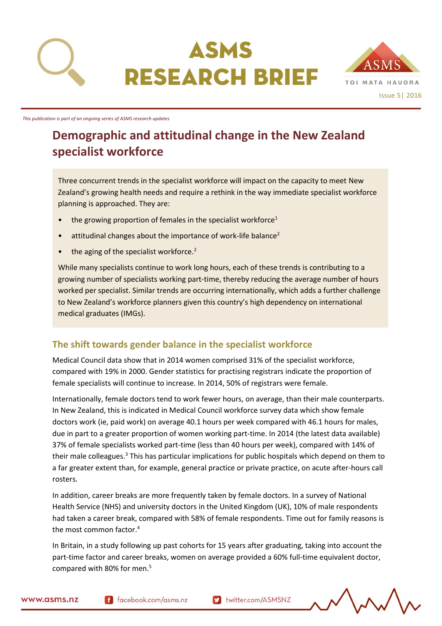



*This publication is part of an ongoing series of ASMS research updates*

# **Demographic and attitudinal change in the New Zealand specialist workforce**

Three concurrent trends in the specialist workforce will impact on the capacity to meet New Zealand's growing health needs and require a rethink in the way immediate specialist workforce planning is approached. They are:

- the growing proportion of females in the specialist workforce<sup>1</sup>
- attitudinal changes about the importance of work-life balance<sup>2</sup>
- the aging of the specialist workforce.<sup>2</sup>

While many specialists continue to work long hours, each of these trends is contributing to a growing number of specialists working part-time, thereby reducing the average number of hours worked per specialist. Similar trends are occurring internationally, which adds a further challenge to New Zealand's workforce planners given this country's high dependency on international medical graduates (IMGs).

#### **The shift towards gender balance in the specialist workforce**

Medical Council data show that in 2014 women comprised 31% of the specialist workforce, compared with 19% in 2000. Gender statistics for practising registrars indicate the proportion of female specialists will continue to increase. In 2014, 50% of registrars were female.

Internationally, female doctors tend to work fewer hours, on average, than their male counterparts. In New Zealand, this is indicated in Medical Council workforce survey data which show female doctors work (ie, paid work) on average 40.1 hours per week compared with 46.1 hours for males, due in part to a greater proportion of women working part-time. In 2014 (the latest data available) 37% of female specialists worked part-time (less than 40 hours per week), compared with 14% of their male colleagues.<sup>3</sup> This has particular implications for public hospitals which depend on them to a far greater extent than, for example, general practice or private practice, on acute after-hours call rosters.

In addition, career breaks are more frequently taken by female doctors. In a survey of National Health Service (NHS) and university doctors in the United Kingdom (UK), 10% of male respondents had taken a career break, compared with 58% of female respondents. Time out for family reasons is the most common factor.<sup>4</sup>

In Britain, in a study following up past cohorts for 15 years after graduating, taking into account the part-time factor and career breaks, women on average provided a 60% full-time equivalent doctor, compared with 80% for men.<sup>5</sup>

www.asms.nz

f facebook.com/asms.nz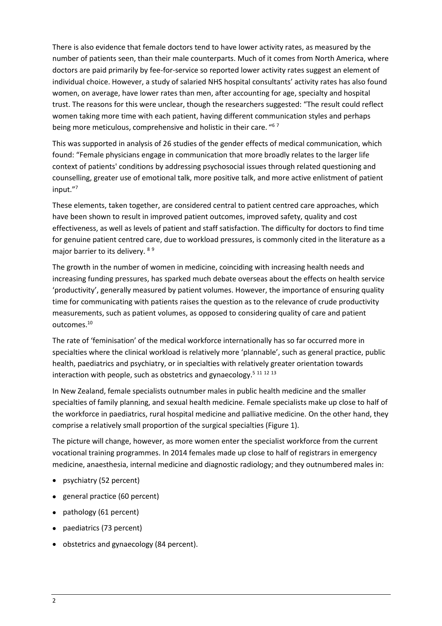There is also evidence that female doctors tend to have lower activity rates, as measured by the number of patients seen, than their male counterparts. Much of it comes from North America, where doctors are paid primarily by fee-for-service so reported lower activity rates suggest an element of individual choice. However, a study of salaried NHS hospital consultants' activity rates has also found women, on average, have lower rates than men, after accounting for age, specialty and hospital trust. The reasons for this were unclear, though the researchers suggested: "The result could reflect women taking more time with each patient, having different communication styles and perhaps being more meticulous, comprehensive and holistic in their care. "<sup>67</sup>

This was supported in analysis of 26 studies of the gender effects of medical communication, which found: "Female physicians engage in communication that more broadly relates to the larger life context of patients' conditions by addressing psychosocial issues through related questioning and counselling, greater use of emotional talk, more positive talk, and more active enlistment of patient input."<sup>7</sup>

These elements, taken together, are considered central to patient centred care approaches, which have been shown to result in improved patient outcomes, improved safety, quality and cost effectiveness, as well as levels of patient and staff satisfaction. The difficulty for doctors to find time for genuine patient centred care, due to workload pressures, is commonly cited in the literature as a major barrier to its delivery. 89

The growth in the number of women in medicine, coinciding with increasing health needs and increasing funding pressures, has sparked much debate overseas about the effects on health service 'productivity', generally measured by patient volumes. However, the importance of ensuring quality time for communicating with patients raises the question as to the relevance of crude productivity measurements, such as patient volumes, as opposed to considering quality of care and patient outcomes.<sup>10</sup>

The rate of 'feminisation' of the medical workforce internationally has so far occurred more in specialties where the clinical workload is relatively more 'plannable', such as general practice, public health, paediatrics and psychiatry, or in specialties with relatively greater orientation towards interaction with people, such as obstetrics and gynaecology.<sup>5 11 12 13</sup>

In New Zealand, female specialists outnumber males in public health medicine and the smaller specialties of family planning, and sexual health medicine. Female specialists make up close to half of the workforce in paediatrics, rural hospital medicine and palliative medicine. On the other hand, they comprise a relatively small proportion of the surgical specialties (Figure 1).

The picture will change, however, as more women enter the specialist workforce from the current vocational training programmes. In 2014 females made up close to half of registrars in emergency medicine, anaesthesia, internal medicine and diagnostic radiology; and they outnumbered males in:

- psychiatry (52 percent)
- general practice (60 percent)
- pathology (61 percent)
- paediatrics (73 percent)
- obstetrics and gynaecology (84 percent).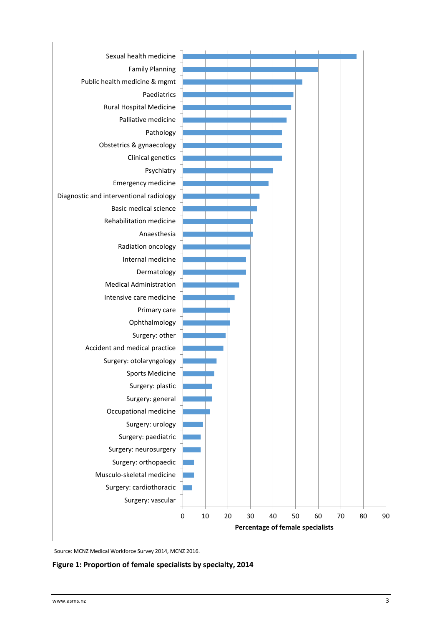

Source: MCNZ Medical Workforce Survey 2014, MCNZ 2016.

**Figure 1: Proportion of female specialists by specialty, 2014**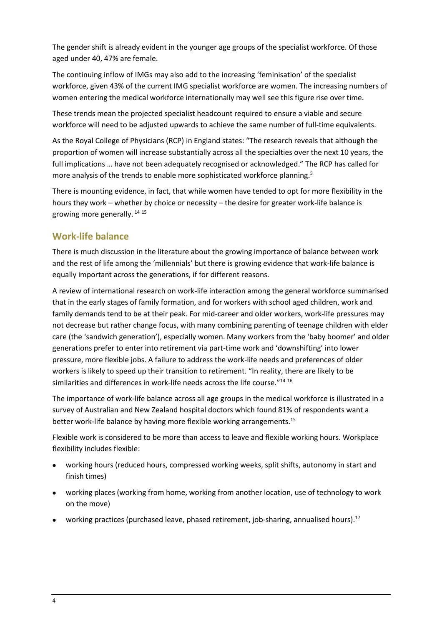The gender shift is already evident in the younger age groups of the specialist workforce. Of those aged under 40, 47% are female.

The continuing inflow of IMGs may also add to the increasing 'feminisation' of the specialist workforce, given 43% of the current IMG specialist workforce are women. The increasing numbers of women entering the medical workforce internationally may well see this figure rise over time.

These trends mean the projected specialist headcount required to ensure a viable and secure workforce will need to be adjusted upwards to achieve the same number of full-time equivalents.

As the Royal College of Physicians (RCP) in England states: "The research reveals that although the proportion of women will increase substantially across all the specialties over the next 10 years, the full implications … have not been adequately recognised or acknowledged." The RCP has called for more analysis of the trends to enable more sophisticated workforce planning.<sup>5</sup>

There is mounting evidence, in fact, that while women have tended to opt for more flexibility in the hours they work – whether by choice or necessity – the desire for greater work-life balance is growing more generally. <sup>14</sup> <sup>15</sup>

## **Work-life balance**

There is much discussion in the literature about the growing importance of balance between work and the rest of life among the 'millennials' but there is growing evidence that work-life balance is equally important across the generations, if for different reasons.

A review of international research on work-life interaction among the general workforce summarised that in the early stages of family formation, and for workers with school aged children, work and family demands tend to be at their peak. For mid-career and older workers, work-life pressures may not decrease but rather change focus, with many combining parenting of teenage children with elder care (the 'sandwich generation'), especially women. Many workers from the 'baby boomer' and older generations prefer to enter into retirement via part-time work and 'downshifting' into lower pressure, more flexible jobs. A failure to address the work-life needs and preferences of older workers is likely to speed up their transition to retirement. "In reality, there are likely to be similarities and differences in work-life needs across the life course."14 16

The importance of work-life balance across all age groups in the medical workforce is illustrated in a survey of Australian and New Zealand hospital doctors which found 81% of respondents want a better work-life balance by having more flexible working arrangements.<sup>15</sup>

Flexible work is considered to be more than access to leave and flexible working hours. Workplace flexibility includes flexible:

- working hours (reduced hours, compressed working weeks, split shifts, autonomy in start and finish times)
- working places (working from home, working from another location, use of technology to work on the move)
- working practices (purchased leave, phased retirement, job-sharing, annualised hours).<sup>17</sup>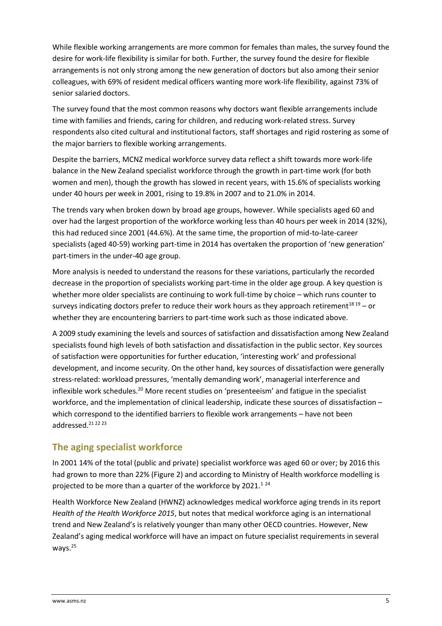While flexible working arrangements are more common for females than males, the survey found the desire for work-life flexibility is similar for both. Further, the survey found the desire for flexible arrangements is not only strong among the new generation of doctors but also among their senior colleagues, with 69% of resident medical officers wanting more work-life flexibility, against 73% of senior salaried doctors.

The survey found that the most common reasons why doctors want flexible arrangements include time with families and friends, caring for children, and reducing work-related stress. Survey respondents also cited cultural and institutional factors, staff shortages and rigid rostering as some of the major barriers to flexible working arrangements.

Despite the barriers, MCNZ medical workforce survey data reflect a shift towards more work-life balance in the New Zealand specialist workforce through the growth in part-time work (for both women and men), though the growth has slowed in recent years, with 15.6% of specialists working under 40 hours per week in 2001, rising to 19.8% in 2007 and to 21.0% in 2014.

The trends vary when broken down by broad age groups, however. While specialists aged 60 and over had the largest proportion of the workforce working less than 40 hours per week in 2014 (32%), this had reduced since 2001 (44.6%). At the same time, the proportion of mid-to-late-career specialists (aged 40-59) working part-time in 2014 has overtaken the proportion of 'new generation' part-timers in the under-40 age group.

More analysis is needed to understand the reasons for these variations, particularly the recorded decrease in the proportion of specialists working part-time in the older age group. A key question is whether more older specialists are continuing to work full-time by choice – which runs counter to surveys indicating doctors prefer to reduce their work hours as they approach retirement<sup>18 19</sup> – or whether they are encountering barriers to part-time work such as those indicated above.

A 2009 study examining the levels and sources of satisfaction and dissatisfaction among New Zealand specialists found high levels of both satisfaction and dissatisfaction in the public sector. Key sources of satisfaction were opportunities for further education, 'interesting work' and professional development, and income security. On the other hand, key sources of dissatisfaction were generally stress-related: workload pressures, 'mentally demanding work', managerial interference and inflexible work schedules.<sup>20</sup> More recent studies on 'presenteeism' and fatigue in the specialist workforce, and the implementation of clinical leadership, indicate these sources of dissatisfaction – which correspond to the identified barriers to flexible work arrangements – have not been addressed.<sup>21</sup>2223

## **The aging specialist workforce**

In 2001 14% of the total (public and private) specialist workforce was aged 60 or over; by 2016 this had grown to more than 22% (Figure 2) and according to Ministry of Health workforce modelling is projected to be more than a quarter of the workforce by  $2021$ .<sup>124</sup>

Health Workforce New Zealand (HWNZ) acknowledges medical workforce aging trends in its report *Health of the Health Workforce 2015*, but notes that medical workforce aging is an international trend and New Zealand's is relatively younger than many other OECD countries. However, New Zealand's aging medical workforce will have an impact on future specialist requirements in several ways.<sup>25</sup>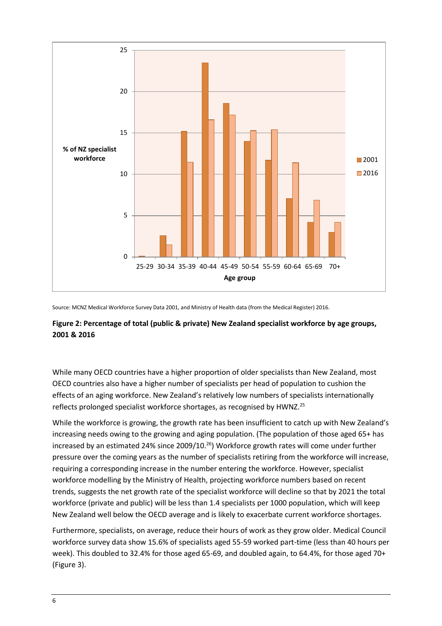

Source: MCNZ Medical Workforce Survey Data 2001, and Ministry of Health data (from the Medical Register) 2016.

#### **Figure 2: Percentage of total (public & private) New Zealand specialist workforce by age groups, 2001 & 2016**

While many OECD countries have a higher proportion of older specialists than New Zealand, most OECD countries also have a higher number of specialists per head of population to cushion the effects of an aging workforce. New Zealand's relatively low numbers of specialists internationally reflects prolonged specialist workforce shortages, as recognised by HWNZ.<sup>25</sup>

While the workforce is growing, the growth rate has been insufficient to catch up with New Zealand's increasing needs owing to the growing and aging population. (The population of those aged 65+ has increased by an estimated 24% since 2009/10.<sup>26</sup>) Workforce growth rates will come under further pressure over the coming years as the number of specialists retiring from the workforce will increase, requiring a corresponding increase in the number entering the workforce. However, specialist workforce modelling by the Ministry of Health, projecting workforce numbers based on recent trends, suggests the net growth rate of the specialist workforce will decline so that by 2021 the total workforce (private and public) will be less than 1.4 specialists per 1000 population, which will keep New Zealand well below the OECD average and is likely to exacerbate current workforce shortages.

Furthermore, specialists, on average, reduce their hours of work as they grow older. Medical Council workforce survey data show 15.6% of specialists aged 55-59 worked part-time (less than 40 hours per week). This doubled to 32.4% for those aged 65-69, and doubled again, to 64.4%, for those aged 70+ (Figure 3).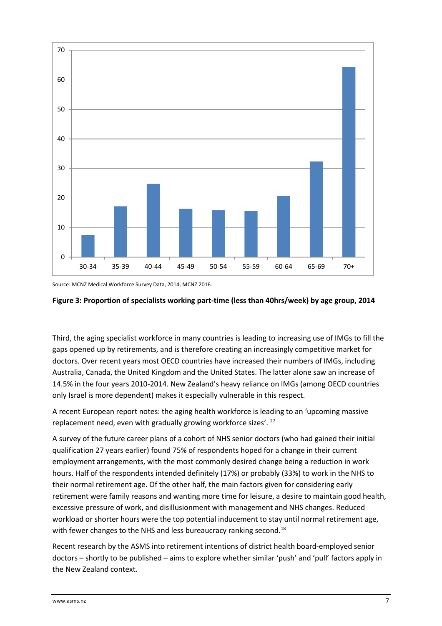

Source: MCNZ Medical Workforce Survey Data, 2014, MCNZ 2016.

#### **Figure 3: Proportion of specialists working part-time (less than 40hrs/week) by age group, 2014**

Third, the aging specialist workforce in many countries is leading to increasing use of IMGs to fill the gaps opened up by retirements, and is therefore creating an increasingly competitive market for doctors. Over recent years most OECD countries have increased their numbers of IMGs, including Australia, Canada, the United Kingdom and the United States. The latter alone saw an increase of 14.5% in the four years 2010-2014. New Zealand's heavy reliance on IMGs (among OECD countries only Israel is more dependent) makes it especially vulnerable in this respect.

A recent European report notes: the aging health workforce is leading to an 'upcoming massive replacement need, even with gradually growing workforce sizes'. <sup>27</sup>

A survey of the future career plans of a cohort of NHS senior doctors (who had gained their initial qualification 27 years earlier) found 75% of respondents hoped for a change in their current employment arrangements, with the most commonly desired change being a reduction in work hours. Half of the respondents intended definitely (17%) or probably (33%) to work in the NHS to their normal retirement age. Of the other half, the main factors given for considering early retirement were family reasons and wanting more time for leisure, a desire to maintain good health, excessive pressure of work, and disillusionment with management and NHS changes. Reduced workload or shorter hours were the top potential inducement to stay until normal retirement age, with fewer changes to the NHS and less bureaucracy ranking second.<sup>18</sup>

Recent research by the ASMS into retirement intentions of district health board-employed senior doctors – shortly to be published – aims to explore whether similar 'push' and 'pull' factors apply in the New Zealand context.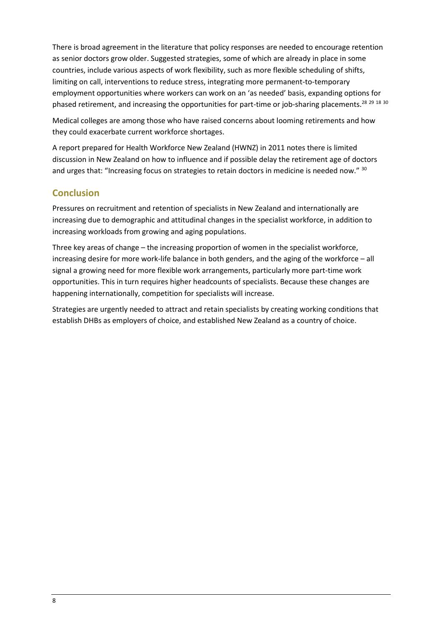There is broad agreement in the literature that policy responses are needed to encourage retention as senior doctors grow older. Suggested strategies, some of which are already in place in some countries, include various aspects of work flexibility, such as more flexible scheduling of shifts, limiting on call, interventions to reduce stress, integrating more permanent-to-temporary employment opportunities where workers can work on an 'as needed' basis, expanding options for phased retirement, and increasing the opportunities for part-time or job-sharing placements.<sup>28</sup> 29 18 30

Medical colleges are among those who have raised concerns about looming retirements and how they could exacerbate current workforce shortages.

A report prepared for Health Workforce New Zealand (HWNZ) in 2011 notes there is limited discussion in New Zealand on how to influence and if possible delay the retirement age of doctors and urges that: "Increasing focus on strategies to retain doctors in medicine is needed now." 30

## **Conclusion**

Pressures on recruitment and retention of specialists in New Zealand and internationally are increasing due to demographic and attitudinal changes in the specialist workforce, in addition to increasing workloads from growing and aging populations.

Three key areas of change – the increasing proportion of women in the specialist workforce, increasing desire for more work-life balance in both genders, and the aging of the workforce – all signal a growing need for more flexible work arrangements, particularly more part-time work opportunities. This in turn requires higher headcounts of specialists. Because these changes are happening internationally, competition for specialists will increase.

Strategies are urgently needed to attract and retain specialists by creating working conditions that establish DHBs as employers of choice, and established New Zealand as a country of choice.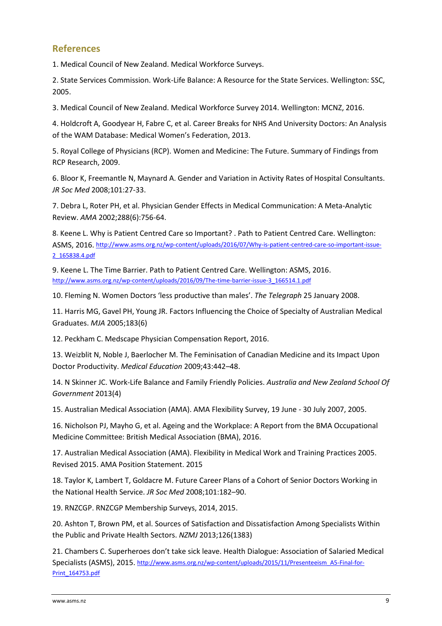### **References**

1. Medical Council of New Zealand. Medical Workforce Surveys.

2. State Services Commission. Work-Life Balance: A Resource for the State Services. Wellington: SSC, 2005.

3. Medical Council of New Zealand. Medical Workforce Survey 2014. Wellington: MCNZ, 2016.

4. Holdcroft A, Goodyear H, Fabre C, et al. Career Breaks for NHS And University Doctors: An Analysis of the WAM Database: Medical Women's Federation, 2013.

5. Royal College of Physicians (RCP). Women and Medicine: The Future. Summary of Findings from RCP Research, 2009.

6. Bloor K, Freemantle N, Maynard A. Gender and Variation in Activity Rates of Hospital Consultants. *JR Soc Med* 2008;101:27-33.

7. Debra L, Roter PH, et al. Physician Gender Effects in Medical Communication: A Meta-Analytic Review. *AMA* 2002;288(6):756-64.

8. Keene L. Why is Patient Centred Care so Important? . Path to Patient Centred Care. Wellington: ASMS, 2016. [http://www.asms.org.nz/wp-content/uploads/2016/07/Why-is-patient-centred-care-so-important-issue-](http://www.asms.org.nz/wp-content/uploads/2016/07/Why-is-patient-centred-care-so-important-issue-2_165838.4.pdf)[2\\_165838.4.pdf](http://www.asms.org.nz/wp-content/uploads/2016/07/Why-is-patient-centred-care-so-important-issue-2_165838.4.pdf)

9. Keene L. The Time Barrier. Path to Patient Centred Care. Wellington: ASMS, 2016. [http://www.asms.org.nz/wp-content/uploads/2016/09/The-time-barrier-issue-3\\_166514.1.pdf](http://www.asms.org.nz/wp-content/uploads/2016/09/The-time-barrier-issue-3_166514.1.pdf)

10. Fleming N. Women Doctors 'less productive than males'. *The Telegraph* 25 January 2008.

11. Harris MG, Gavel PH, Young JR. Factors Influencing the Choice of Specialty of Australian Medical Graduates. *MJA* 2005;183(6)

12. Peckham C. Medscape Physician Compensation Report, 2016.

13. Weizblit N, Noble J, Baerlocher M. The Feminisation of Canadian Medicine and its Impact Upon Doctor Productivity. *Medical Education* 2009;43:442–48.

14. N Skinner JC. Work-Life Balance and Family Friendly Policies. *Australia and New Zealand School Of Government* 2013(4)

15. Australian Medical Association (AMA). AMA Flexibility Survey, 19 June - 30 July 2007, 2005.

16. Nicholson PJ, Mayho G, et al. Ageing and the Workplace: A Report from the BMA Occupational Medicine Committee: British Medical Association (BMA), 2016.

17. Australian Medical Association (AMA). Flexibility in Medical Work and Training Practices 2005. Revised 2015. AMA Position Statement. 2015

18. Taylor K, Lambert T, Goldacre M. Future Career Plans of a Cohort of Senior Doctors Working in the National Health Service. *JR Soc Med* 2008;101:182–90.

19. RNZCGP. RNZCGP Membership Surveys, 2014, 2015.

20. Ashton T, Brown PM, et al. Sources of Satisfaction and Dissatisfaction Among Specialists Within the Public and Private Health Sectors. *NZMJ* 2013;126(1383)

21. Chambers C. Superheroes don't take sick leave. Health Dialogue: Association of Salaried Medical Specialists (ASMS), 2015. [http://www.asms.org.nz/wp-content/uploads/2015/11/Presenteeism\\_A5-Final-for-](http://www.asms.org.nz/wp-content/uploads/2015/11/Presenteeism_A5-Final-for-Print_164753.pdf)[Print\\_164753.pdf](http://www.asms.org.nz/wp-content/uploads/2015/11/Presenteeism_A5-Final-for-Print_164753.pdf)